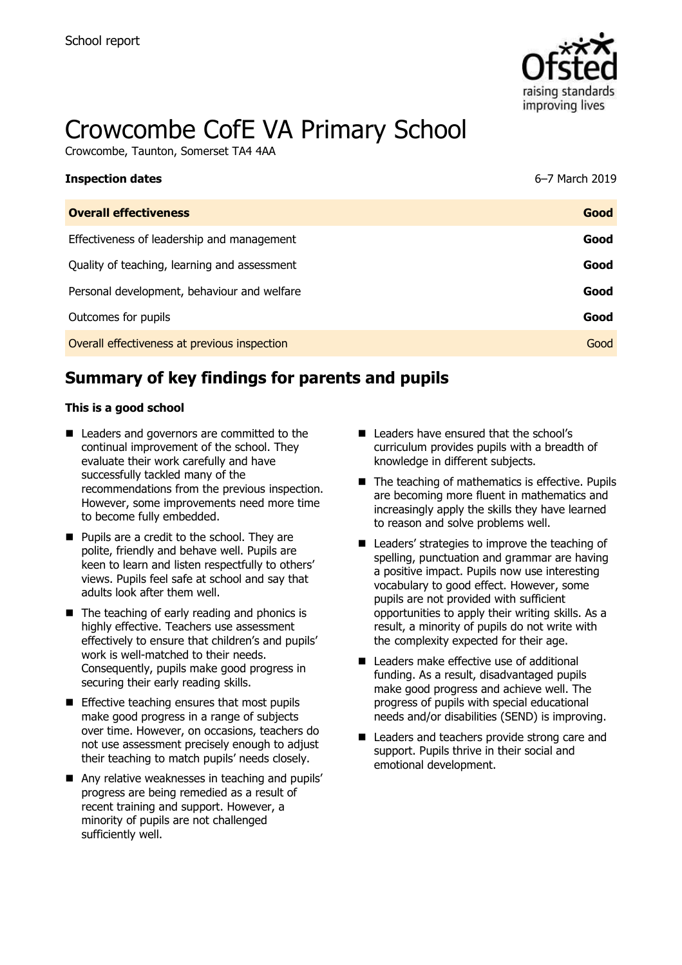

# Crowcombe CofE VA Primary School

Crowcombe, Taunton, Somerset TA4 4AA

| <b>Inspection dates</b>                      | 6-7 March 2019 |
|----------------------------------------------|----------------|
| <b>Overall effectiveness</b>                 | Good           |
| Effectiveness of leadership and management   | Good           |
| Quality of teaching, learning and assessment | Good           |
| Personal development, behaviour and welfare  | Good           |
| Outcomes for pupils                          | Good           |
| Overall effectiveness at previous inspection | Good           |

# **Summary of key findings for parents and pupils**

#### **This is a good school**

- Leaders and governors are committed to the continual improvement of the school. They evaluate their work carefully and have successfully tackled many of the recommendations from the previous inspection. However, some improvements need more time to become fully embedded.
- **Pupils are a credit to the school. They are** polite, friendly and behave well. Pupils are keen to learn and listen respectfully to others' views. Pupils feel safe at school and say that adults look after them well.
- $\blacksquare$  The teaching of early reading and phonics is highly effective. Teachers use assessment effectively to ensure that children's and pupils' work is well-matched to their needs. Consequently, pupils make good progress in securing their early reading skills.
- $\blacksquare$  Effective teaching ensures that most pupils make good progress in a range of subjects over time. However, on occasions, teachers do not use assessment precisely enough to adjust their teaching to match pupils' needs closely.
- Any relative weaknesses in teaching and pupils' progress are being remedied as a result of recent training and support. However, a minority of pupils are not challenged sufficiently well.
- Leaders have ensured that the school's curriculum provides pupils with a breadth of knowledge in different subjects.
- The teaching of mathematics is effective. Pupils are becoming more fluent in mathematics and increasingly apply the skills they have learned to reason and solve problems well.
- Leaders' strategies to improve the teaching of spelling, punctuation and grammar are having a positive impact. Pupils now use interesting vocabulary to good effect. However, some pupils are not provided with sufficient opportunities to apply their writing skills. As a result, a minority of pupils do not write with the complexity expected for their age.
- Leaders make effective use of additional funding. As a result, disadvantaged pupils make good progress and achieve well. The progress of pupils with special educational needs and/or disabilities (SEND) is improving.
- Leaders and teachers provide strong care and support. Pupils thrive in their social and emotional development.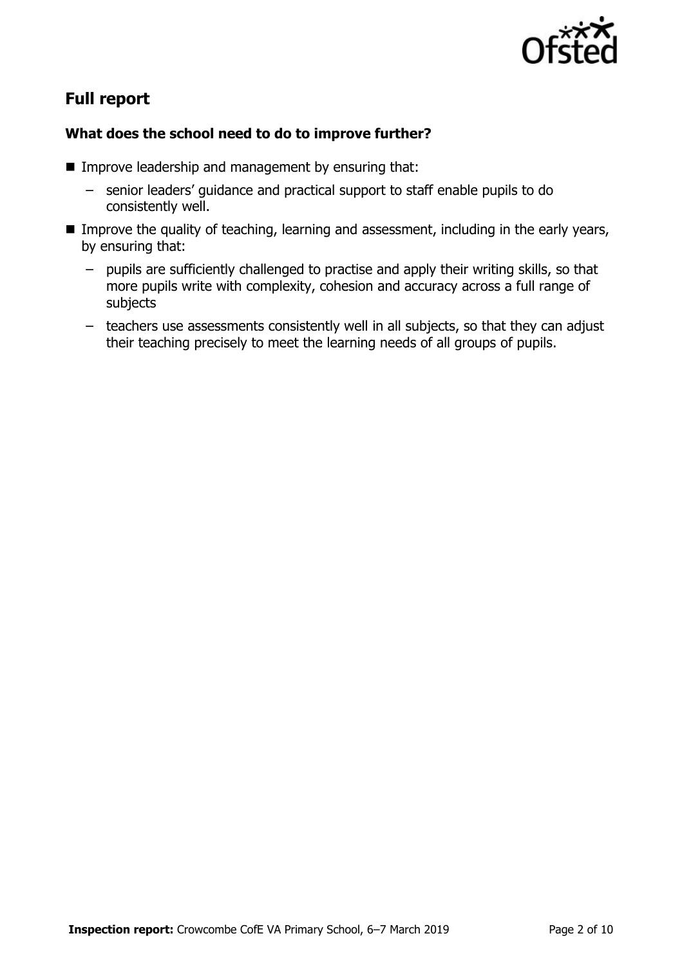

# **Full report**

### **What does the school need to do to improve further?**

- **IMPROVE LEADERSHIP and management by ensuring that:** 
	- senior leaders' guidance and practical support to staff enable pupils to do consistently well.
- Improve the quality of teaching, learning and assessment, including in the early years, by ensuring that:
	- pupils are sufficiently challenged to practise and apply their writing skills, so that more pupils write with complexity, cohesion and accuracy across a full range of subjects
	- teachers use assessments consistently well in all subjects, so that they can adjust their teaching precisely to meet the learning needs of all groups of pupils.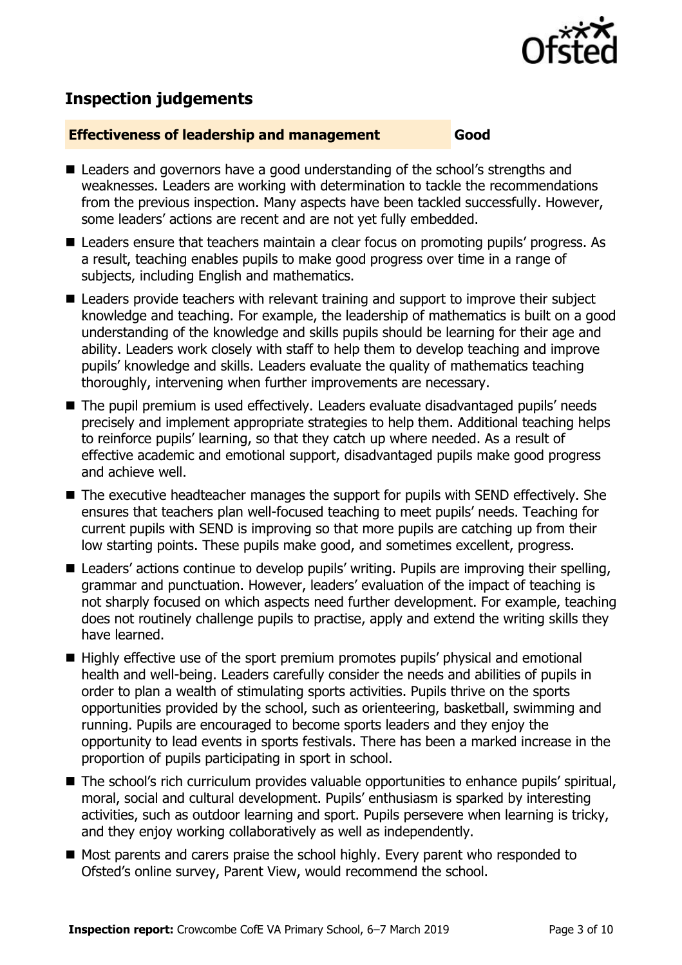

## **Inspection judgements**

#### **Effectiveness of leadership and management Good**

- Leaders and governors have a good understanding of the school's strengths and weaknesses. Leaders are working with determination to tackle the recommendations from the previous inspection. Many aspects have been tackled successfully. However, some leaders' actions are recent and are not yet fully embedded.
- Leaders ensure that teachers maintain a clear focus on promoting pupils' progress. As a result, teaching enables pupils to make good progress over time in a range of subjects, including English and mathematics.
- Leaders provide teachers with relevant training and support to improve their subject knowledge and teaching. For example, the leadership of mathematics is built on a good understanding of the knowledge and skills pupils should be learning for their age and ability. Leaders work closely with staff to help them to develop teaching and improve pupils' knowledge and skills. Leaders evaluate the quality of mathematics teaching thoroughly, intervening when further improvements are necessary.
- The pupil premium is used effectively. Leaders evaluate disadvantaged pupils' needs precisely and implement appropriate strategies to help them. Additional teaching helps to reinforce pupils' learning, so that they catch up where needed. As a result of effective academic and emotional support, disadvantaged pupils make good progress and achieve well.
- The executive headteacher manages the support for pupils with SEND effectively. She ensures that teachers plan well-focused teaching to meet pupils' needs. Teaching for current pupils with SEND is improving so that more pupils are catching up from their low starting points. These pupils make good, and sometimes excellent, progress.
- Leaders' actions continue to develop pupils' writing. Pupils are improving their spelling, grammar and punctuation. However, leaders' evaluation of the impact of teaching is not sharply focused on which aspects need further development. For example, teaching does not routinely challenge pupils to practise, apply and extend the writing skills they have learned.
- Highly effective use of the sport premium promotes pupils' physical and emotional health and well-being. Leaders carefully consider the needs and abilities of pupils in order to plan a wealth of stimulating sports activities. Pupils thrive on the sports opportunities provided by the school, such as orienteering, basketball, swimming and running. Pupils are encouraged to become sports leaders and they enjoy the opportunity to lead events in sports festivals. There has been a marked increase in the proportion of pupils participating in sport in school.
- The school's rich curriculum provides valuable opportunities to enhance pupils' spiritual, moral, social and cultural development. Pupils' enthusiasm is sparked by interesting activities, such as outdoor learning and sport. Pupils persevere when learning is tricky, and they enjoy working collaboratively as well as independently.
- Most parents and carers praise the school highly. Every parent who responded to Ofsted's online survey, Parent View, would recommend the school.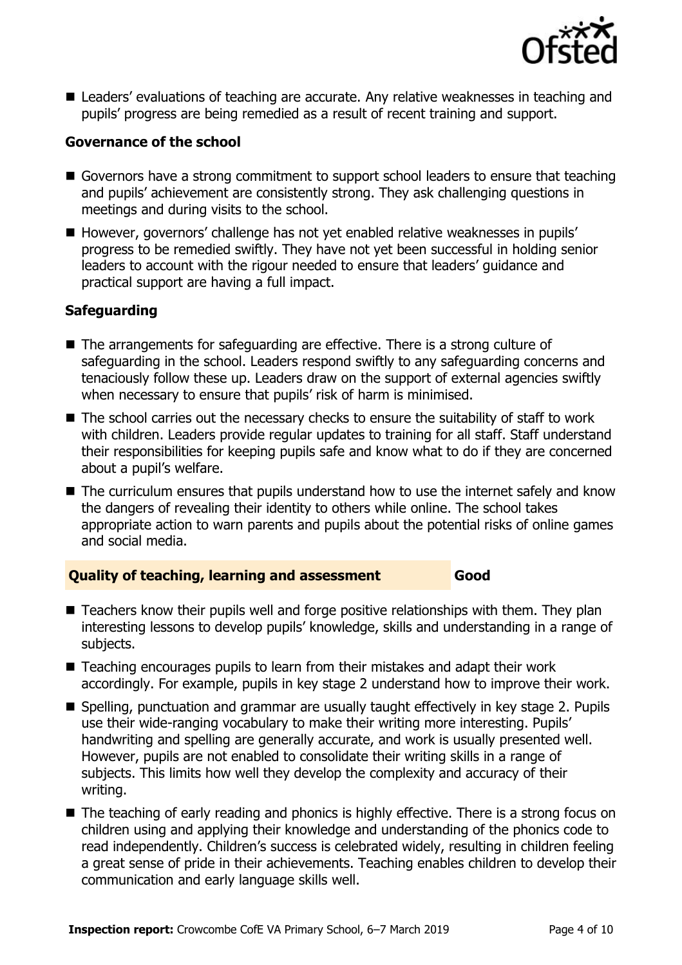

■ Leaders' evaluations of teaching are accurate. Any relative weaknesses in teaching and pupils' progress are being remedied as a result of recent training and support.

#### **Governance of the school**

- Governors have a strong commitment to support school leaders to ensure that teaching and pupils' achievement are consistently strong. They ask challenging questions in meetings and during visits to the school.
- However, governors' challenge has not vet enabled relative weaknesses in pupils' progress to be remedied swiftly. They have not yet been successful in holding senior leaders to account with the rigour needed to ensure that leaders' guidance and practical support are having a full impact.

#### **Safeguarding**

- The arrangements for safeguarding are effective. There is a strong culture of safeguarding in the school. Leaders respond swiftly to any safeguarding concerns and tenaciously follow these up. Leaders draw on the support of external agencies swiftly when necessary to ensure that pupils' risk of harm is minimised.
- The school carries out the necessary checks to ensure the suitability of staff to work with children. Leaders provide regular updates to training for all staff. Staff understand their responsibilities for keeping pupils safe and know what to do if they are concerned about a pupil's welfare.
- The curriculum ensures that pupils understand how to use the internet safely and know the dangers of revealing their identity to others while online. The school takes appropriate action to warn parents and pupils about the potential risks of online games and social media.

#### **Quality of teaching, learning and assessment Good**

- Teachers know their pupils well and forge positive relationships with them. They plan interesting lessons to develop pupils' knowledge, skills and understanding in a range of subjects.
- Teaching encourages pupils to learn from their mistakes and adapt their work accordingly. For example, pupils in key stage 2 understand how to improve their work.
- Spelling, punctuation and grammar are usually taught effectively in key stage 2. Pupils use their wide-ranging vocabulary to make their writing more interesting. Pupils' handwriting and spelling are generally accurate, and work is usually presented well. However, pupils are not enabled to consolidate their writing skills in a range of subjects. This limits how well they develop the complexity and accuracy of their writing.
- The teaching of early reading and phonics is highly effective. There is a strong focus on children using and applying their knowledge and understanding of the phonics code to read independently. Children's success is celebrated widely, resulting in children feeling a great sense of pride in their achievements. Teaching enables children to develop their communication and early language skills well.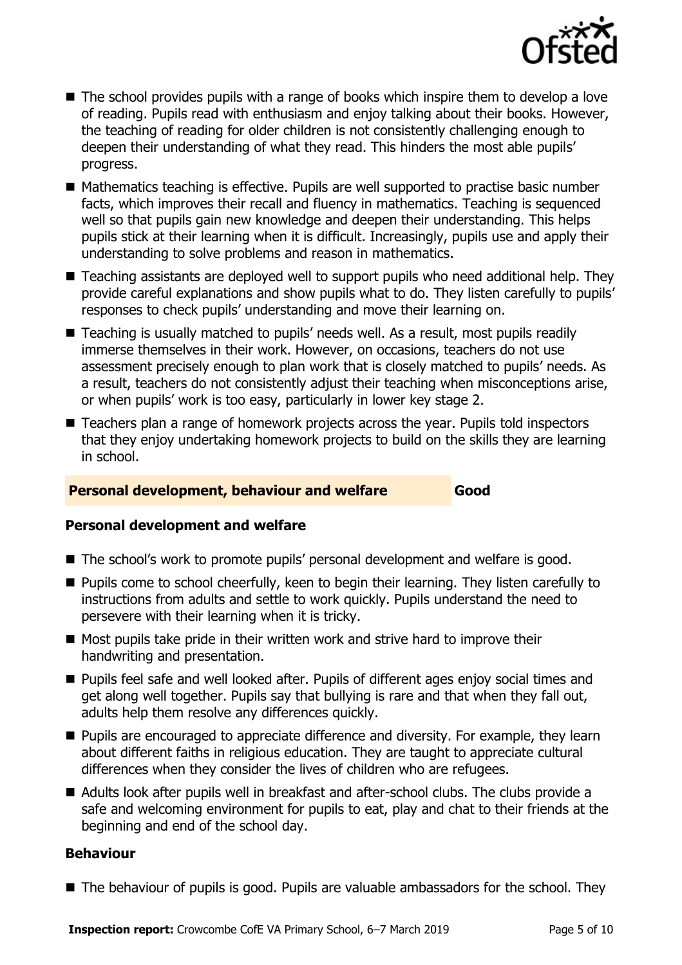

- The school provides pupils with a range of books which inspire them to develop a love of reading. Pupils read with enthusiasm and enjoy talking about their books. However, the teaching of reading for older children is not consistently challenging enough to deepen their understanding of what they read. This hinders the most able pupils' progress.
- Mathematics teaching is effective. Pupils are well supported to practise basic number facts, which improves their recall and fluency in mathematics. Teaching is sequenced well so that pupils gain new knowledge and deepen their understanding. This helps pupils stick at their learning when it is difficult. Increasingly, pupils use and apply their understanding to solve problems and reason in mathematics.
- Teaching assistants are deployed well to support pupils who need additional help. They provide careful explanations and show pupils what to do. They listen carefully to pupils' responses to check pupils' understanding and move their learning on.
- Teaching is usually matched to pupils' needs well. As a result, most pupils readily immerse themselves in their work. However, on occasions, teachers do not use assessment precisely enough to plan work that is closely matched to pupils' needs. As a result, teachers do not consistently adjust their teaching when misconceptions arise, or when pupils' work is too easy, particularly in lower key stage 2.
- Teachers plan a range of homework projects across the year. Pupils told inspectors that they enjoy undertaking homework projects to build on the skills they are learning in school.

#### **Personal development, behaviour and welfare Good**

#### **Personal development and welfare**

- The school's work to promote pupils' personal development and welfare is good.
- **Pupils come to school cheerfully, keen to begin their learning. They listen carefully to** instructions from adults and settle to work quickly. Pupils understand the need to persevere with their learning when it is tricky.
- $\blacksquare$  Most pupils take pride in their written work and strive hard to improve their handwriting and presentation.
- Pupils feel safe and well looked after. Pupils of different ages enjoy social times and get along well together. Pupils say that bullying is rare and that when they fall out, adults help them resolve any differences quickly.
- **Pupilla** are encouraged to appreciate difference and diversity. For example, they learn about different faiths in religious education. They are taught to appreciate cultural differences when they consider the lives of children who are refugees.
- Adults look after pupils well in breakfast and after-school clubs. The clubs provide a safe and welcoming environment for pupils to eat, play and chat to their friends at the beginning and end of the school day.

#### **Behaviour**

■ The behaviour of pupils is good. Pupils are valuable ambassadors for the school. They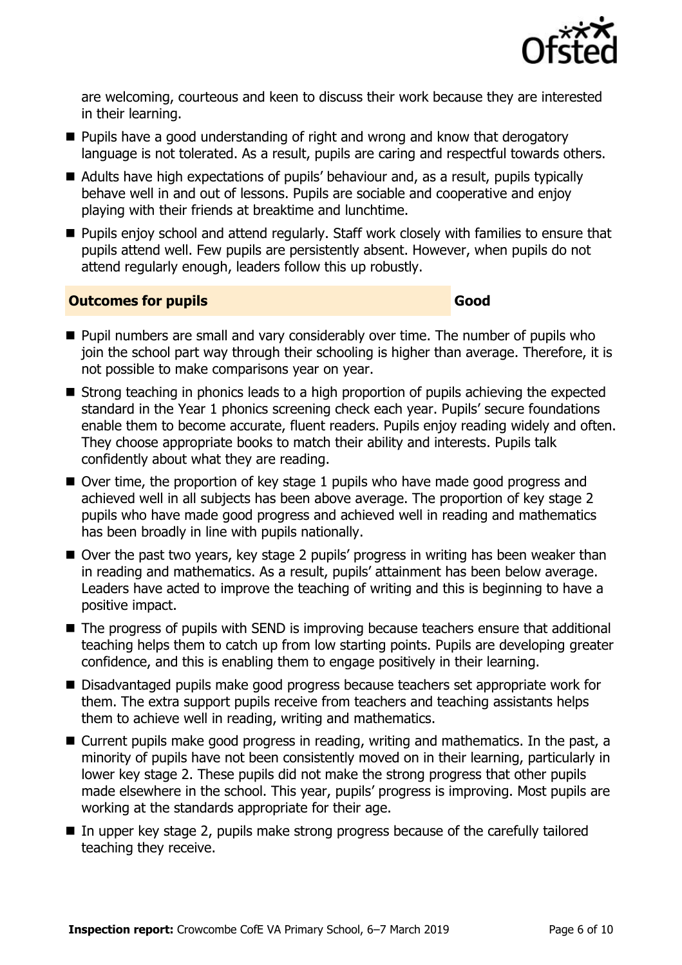

are welcoming, courteous and keen to discuss their work because they are interested in their learning.

- **Pupils have a good understanding of right and wrong and know that derogatory** language is not tolerated. As a result, pupils are caring and respectful towards others.
- Adults have high expectations of pupils' behaviour and, as a result, pupils typically behave well in and out of lessons. Pupils are sociable and cooperative and enjoy playing with their friends at breaktime and lunchtime.
- **Pupils enjoy school and attend regularly. Staff work closely with families to ensure that** pupils attend well. Few pupils are persistently absent. However, when pupils do not attend regularly enough, leaders follow this up robustly.

#### **Outcomes for pupils Good**

- **Pupil numbers are small and vary considerably over time. The number of pupils who** join the school part way through their schooling is higher than average. Therefore, it is not possible to make comparisons year on year.
- Strong teaching in phonics leads to a high proportion of pupils achieving the expected standard in the Year 1 phonics screening check each year. Pupils' secure foundations enable them to become accurate, fluent readers. Pupils enjoy reading widely and often. They choose appropriate books to match their ability and interests. Pupils talk confidently about what they are reading.
- Over time, the proportion of key stage 1 pupils who have made good progress and achieved well in all subjects has been above average. The proportion of key stage 2 pupils who have made good progress and achieved well in reading and mathematics has been broadly in line with pupils nationally.
- Over the past two years, key stage 2 pupils' progress in writing has been weaker than in reading and mathematics. As a result, pupils' attainment has been below average. Leaders have acted to improve the teaching of writing and this is beginning to have a positive impact.
- The progress of pupils with SEND is improving because teachers ensure that additional teaching helps them to catch up from low starting points. Pupils are developing greater confidence, and this is enabling them to engage positively in their learning.
- Disadvantaged pupils make good progress because teachers set appropriate work for them. The extra support pupils receive from teachers and teaching assistants helps them to achieve well in reading, writing and mathematics.
- Current pupils make good progress in reading, writing and mathematics. In the past, a minority of pupils have not been consistently moved on in their learning, particularly in lower key stage 2. These pupils did not make the strong progress that other pupils made elsewhere in the school. This year, pupils' progress is improving. Most pupils are working at the standards appropriate for their age.
- In upper key stage 2, pupils make strong progress because of the carefully tailored teaching they receive.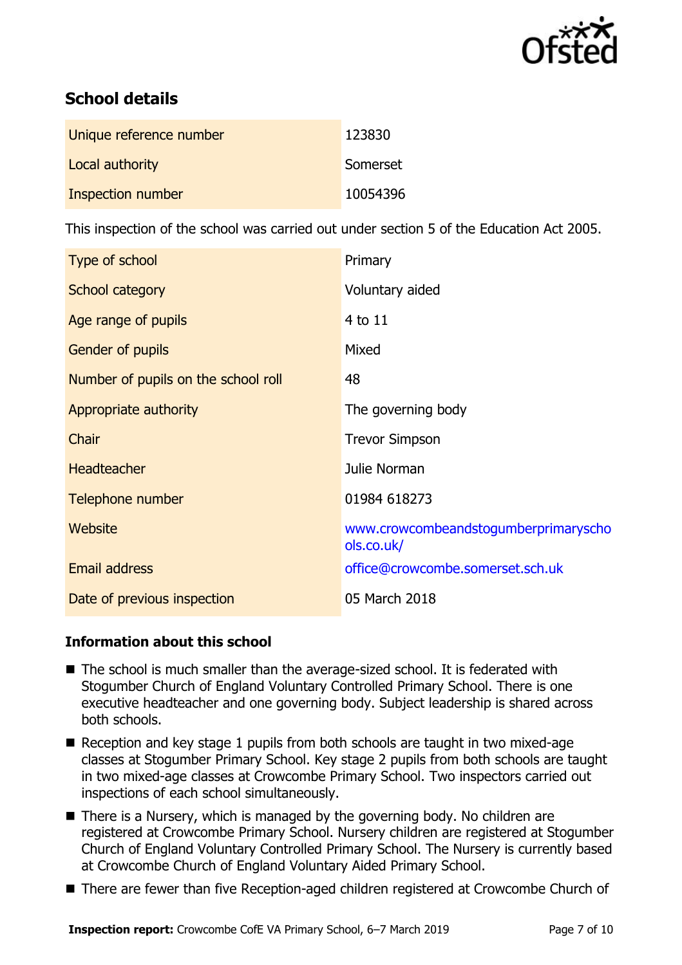

# **School details**

| Unique reference number | 123830   |
|-------------------------|----------|
| Local authority         | Somerset |
| Inspection number       | 10054396 |

This inspection of the school was carried out under section 5 of the Education Act 2005.

| Type of school                      | Primary                                            |
|-------------------------------------|----------------------------------------------------|
| School category                     | Voluntary aided                                    |
| Age range of pupils                 | 4 to 11                                            |
| Gender of pupils                    | Mixed                                              |
| Number of pupils on the school roll | 48                                                 |
| Appropriate authority               | The governing body                                 |
| Chair                               | <b>Trevor Simpson</b>                              |
| <b>Headteacher</b>                  | Julie Norman                                       |
| Telephone number                    | 01984 618273                                       |
| <b>Website</b>                      | www.crowcombeandstogumberprimaryscho<br>ols.co.uk/ |
| <b>Email address</b>                | office@crowcombe.somerset.sch.uk                   |
| Date of previous inspection         | 05 March 2018                                      |

#### **Information about this school**

- The school is much smaller than the average-sized school. It is federated with Stogumber Church of England Voluntary Controlled Primary School. There is one executive headteacher and one governing body. Subject leadership is shared across both schools.
- Reception and key stage 1 pupils from both schools are taught in two mixed-age classes at Stogumber Primary School. Key stage 2 pupils from both schools are taught in two mixed-age classes at Crowcombe Primary School. Two inspectors carried out inspections of each school simultaneously.
- There is a Nursery, which is managed by the governing body. No children are registered at Crowcombe Primary School. Nursery children are registered at Stogumber Church of England Voluntary Controlled Primary School. The Nursery is currently based at Crowcombe Church of England Voluntary Aided Primary School.
- There are fewer than five Reception-aged children registered at Crowcombe Church of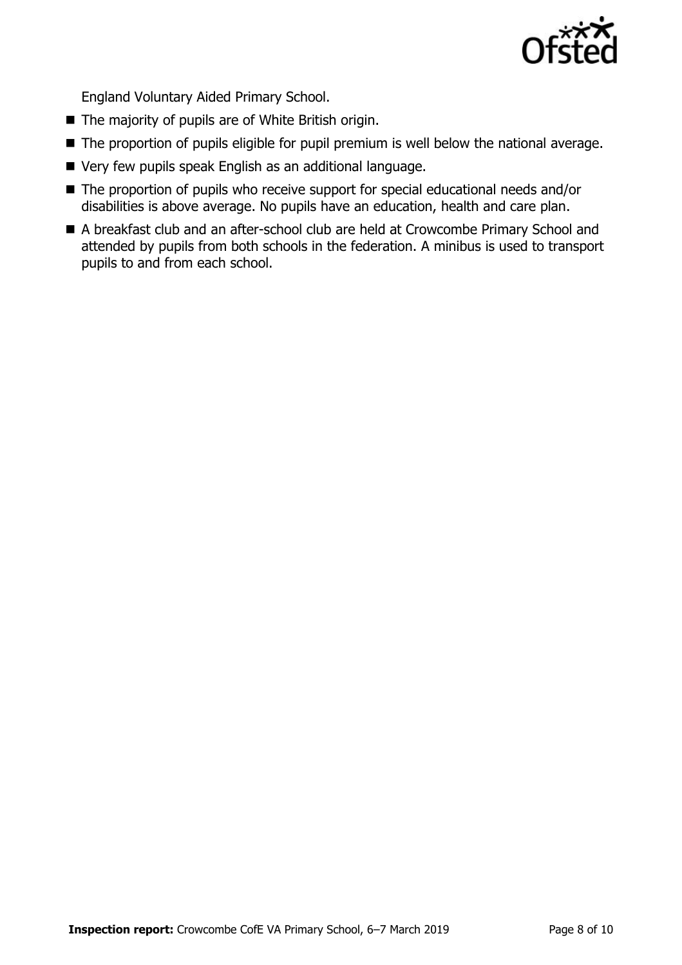

England Voluntary Aided Primary School.

- $\blacksquare$  The majority of pupils are of White British origin.
- The proportion of pupils eligible for pupil premium is well below the national average.
- Very few pupils speak English as an additional language.
- The proportion of pupils who receive support for special educational needs and/or disabilities is above average. No pupils have an education, health and care plan.
- A breakfast club and an after-school club are held at Crowcombe Primary School and attended by pupils from both schools in the federation. A minibus is used to transport pupils to and from each school.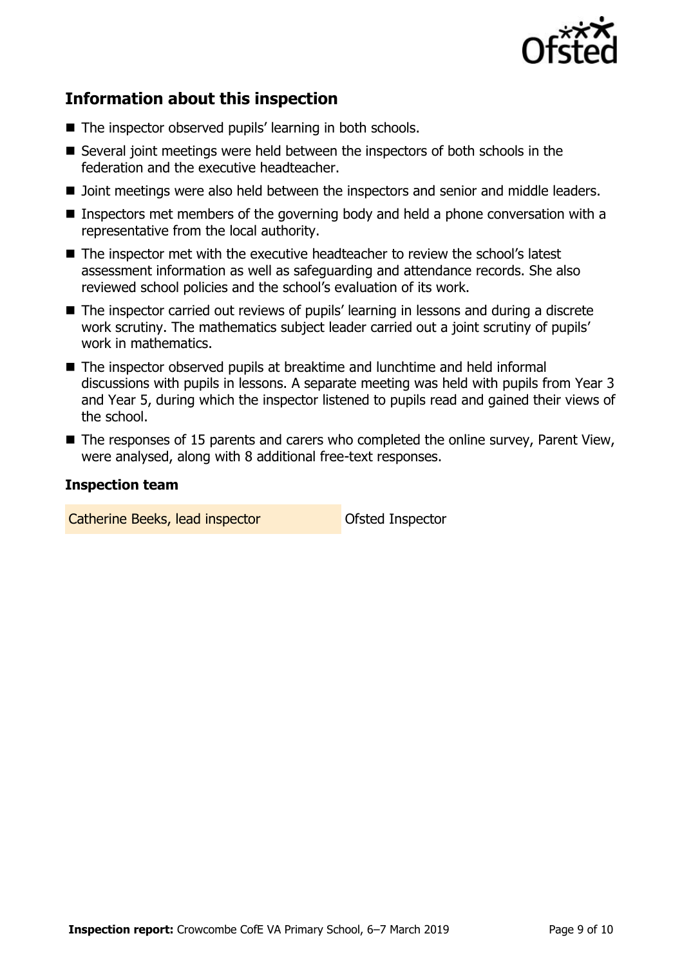

# **Information about this inspection**

- The inspector observed pupils' learning in both schools.
- Several joint meetings were held between the inspectors of both schools in the federation and the executive headteacher.
- Joint meetings were also held between the inspectors and senior and middle leaders.
- Inspectors met members of the governing body and held a phone conversation with a representative from the local authority.
- The inspector met with the executive headteacher to review the school's latest assessment information as well as safeguarding and attendance records. She also reviewed school policies and the school's evaluation of its work.
- The inspector carried out reviews of pupils' learning in lessons and during a discrete work scrutiny. The mathematics subject leader carried out a joint scrutiny of pupils' work in mathematics.
- The inspector observed pupils at breaktime and lunchtime and held informal discussions with pupils in lessons. A separate meeting was held with pupils from Year 3 and Year 5, during which the inspector listened to pupils read and gained their views of the school.
- The responses of 15 parents and carers who completed the online survey, Parent View, were analysed, along with 8 additional free-text responses.

#### **Inspection team**

Catherine Beeks, lead inspector **Catherine Beeks**, lead inspector